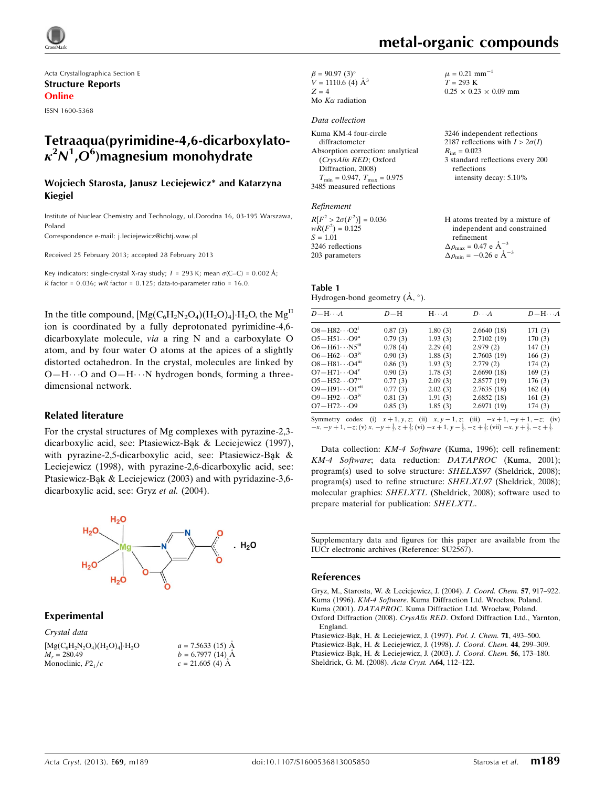

Acta Crystallographica Section E Structure Reports Online

ISSN 1600-5368

### Tetraaqua(pyrimidine-4,6-dicarboxylato- $\kappa^2 \mathcal{N}^1$ , $\overline{\mathcal{O}}^6$ )magnesium monohydrate

#### Wojciech Starosta, Janusz Leciejewicz\* and Katarzyna Kiegiel

Institute of Nuclear Chemistry and Technology, ul.Dorodna 16, 03-195 Warszawa, Poland

Correspondence e-mail: [j.leciejewicz@ichtj.waw.pl](https://scripts.iucr.org/cgi-bin/cr.cgi?rm=pdfbb&cnor=su2567&bbid=BB8)

Received 25 February 2013; accepted 28 February 2013

Key indicators: single-crystal X-ray study;  $T = 293$  K; mean  $\sigma$ (C–C) = 0.002 Å; R factor =  $0.036$ ; wR factor =  $0.125$ ; data-to-parameter ratio = 16.0.

In the title compound,  $[Mg(C_6H_2N_2O_4)(H_2O)_4]\cdot H_2O$ , the  $Mg^H$ ion is coordinated by a fully deprotonated pyrimidine-4,6 dicarboxylate molecule, via a ring N and a carboxylate O atom, and by four water O atoms at the apices of a slightly distorted octahedron. In the crystal, molecules are linked by  $O-H\cdots O$  and  $O-H\cdots N$  hydrogen bonds, forming a threedimensional network.

#### Related literature

For the crystal structures of Mg complexes with pyrazine-2,3 dicarboxylic acid, see: Ptasiewicz-Ba˛k & Leciejewicz (1997), with pyrazine-2,5-dicarboxylic acid, see: Ptasiewicz-Bąk & Leciejewicz (1998), with pyrazine-2,6-dicarboxylic acid, see: Ptasiewicz-Bąk & Leciejewicz (2003) and with pyridazine-3,6dicarboxylic acid, see: Gryz et al. (2004).



 $a = 7.5633(15)$  Å  $b = 6.7977(14)$  Å  $c = 21.605$  (4) A

#### Experimental

| Crystal data                     |  |
|----------------------------------|--|
| $[Mg(C_6H_2N_2O_4)(H_2O)_4]H_2O$ |  |
| $M_r = 280.49$                   |  |
| Monoclinic, $P21/c$              |  |

| $\beta = 90.97(3)$ °     |
|--------------------------|
| $V = 1110.6$ (4) $\AA^3$ |
| $Z = 4$                  |
| Mo $K\alpha$ radiation   |

#### Data collection

| Kuma KM-4 four-circle                               |  |
|-----------------------------------------------------|--|
| diffractometer                                      |  |
| Absorption correction: analytical                   |  |
| (CrysAlis RED; Oxford                               |  |
| Diffraction, 2008)                                  |  |
| $T_{\text{min}} = 0.947$ , $T_{\text{max}} = 0.975$ |  |
| 3485 measured reflections                           |  |

#### Refinement

| $R[F^2 > 2\sigma(F^2)] = 0.036$ | H atoms treated by a mixture of                    |
|---------------------------------|----------------------------------------------------|
| $wR(F^2) = 0.125$               | independent and constrained                        |
| $S = 1.01$                      | refinement                                         |
| 3246 reflections                | $\Delta \rho_{\text{max}} = 0.47 \text{ e A}^{-3}$ |
| 203 parameters                  | $\Delta \rho_{\text{min}} = -0.26$ e $\AA^{-3}$    |

#### Table 1 Hydrogen-bond geometry  $(\mathring{A}, \degree)$ .

| $D - H \cdots A$                    | $D-H$   | $H \cdots A$ | $D \cdot \cdot \cdot A$ | $D - H \cdots A$ |
|-------------------------------------|---------|--------------|-------------------------|------------------|
| $O8 - H82 \cdots O2^{1}$            | 0.87(3) | 1.80(3)      | 2.6640(18)              | 171(3)           |
| $O5 - H51 \cdots O9n$               | 0.79(3) | 1.93(3)      | 2.7102(19)              | 170(3)           |
| $O6 - H61 \cdots N5$ <sup>iii</sup> | 0.78(4) | 2.29(4)      | 2.979(2)                | 147(3)           |
| $O6 - H62 \cdots O3^{iv}$           | 0.90(3) | 1.88(3)      | 2.7603(19)              | 166(3)           |
| $O8 - H81 \cdots O4m$               | 0.86(3) | 1.93(3)      | 2.779(2)                | 174(2)           |
| $O7 - H71 \cdots O4^V$              | 0.90(3) | 1.78(3)      | 2.6690(18)              | 169(3)           |
| $O5 - H52 \cdots O7^{vi}$           | 0.77(3) | 2.09(3)      | 2.8577 (19)             | 176(3)           |
| $O9 - H91 \cdots O1$ <sup>vii</sup> | 0.77(3) | 2.02(3)      | 2.7635(18)              | 162(4)           |
| $O9 - H92 \cdots O3^{iv}$           | 0.81(3) | 1.91(3)      | 2.6852(18)              | 161(3)           |
| $O7 - H72 \cdots O9$                | 0.85(3) | 1.85(3)      | 2.6971 (19)             | 174(3)           |

Symmetry codes: (i)  $x + 1, y, z$ ; (ii)  $x, y - 1, z$ ; (iii)  $-x + 1, -y + 1, -z$ ; (iv)  $-x, -y + 1, -z$ ; (v)  $x, -y + \frac{1}{2}, z + \frac{1}{2}$ ; (vi)  $-x + 1, y - \frac{1}{2}, -z + \frac{1}{2}$ ; (vii)  $-x, y + \frac{1}{2}, -z + \frac{1}{2}$ .

Data collection: KM-4 Software (Kuma, 1996); cell refinement: KM-4 Software; data reduction: DATAPROC (Kuma, 2001); program(s) used to solve structure: SHELXS97 (Sheldrick, 2008); program(s) used to refine structure: SHELXL97 (Sheldrick, 2008); molecular graphics: SHELXTL (Sheldrick, 2008); software used to prepare material for publication: SHELXTL.

Supplementary data and figures for this paper are available from the IUCr electronic archives (Reference: SU2567).

#### References

[Gryz, M., Starosta, W. & Leciejewicz, J. \(2004\).](https://scripts.iucr.org/cgi-bin/cr.cgi?rm=pdfbb&cnor=su2567&bbid=BB1) J. Coord. Chem. 57, 917–922. Kuma (1996). KM-4 Software[. Kuma Diffraction Ltd. Wrocław, Poland.](https://scripts.iucr.org/cgi-bin/cr.cgi?rm=pdfbb&cnor=su2567&bbid=BB2) Kuma (2001). DATAPROC[. Kuma Diffraction Ltd. Wrocław, Poland.](https://scripts.iucr.org/cgi-bin/cr.cgi?rm=pdfbb&cnor=su2567&bbid=BB3) Oxford Diffraction (2008). CrysAlis RED[. Oxford Diffraction Ltd., Yarnton,](https://scripts.iucr.org/cgi-bin/cr.cgi?rm=pdfbb&cnor=su2567&bbid=BB4) [England.](https://scripts.iucr.org/cgi-bin/cr.cgi?rm=pdfbb&cnor=su2567&bbid=BB4)

Ptasiewicz-Bąk, H. & Leciejewicz, J. (1997). Pol. J. Chem. 71, 493-500.

Ptasiewicz-Bąk, H. & Leciejewicz, J. (1998). J. Coord. Chem. 44, 299-309.

Ptasiewicz-Bąk, H. & Leciejewicz, J. (2003). J. Coord. Chem. 56, 173-180. [Sheldrick, G. M. \(2008\).](https://scripts.iucr.org/cgi-bin/cr.cgi?rm=pdfbb&cnor=su2567&bbid=BB8) Acta Cryst. A64, 112–122.

# metal-organic compounds

 $\mu = 0.21$  mm<sup>-1</sup>  $T = 293 \text{ K}$ 

 $R_{\text{int}} = 0.023$ 

reflections

 $0.25 \times 0.23 \times 0.09$  mm

3246 independent reflections 2187 reflections with  $I > 2\sigma(I)$ 

3 standard reflections every 200

intensity decay: 5.10%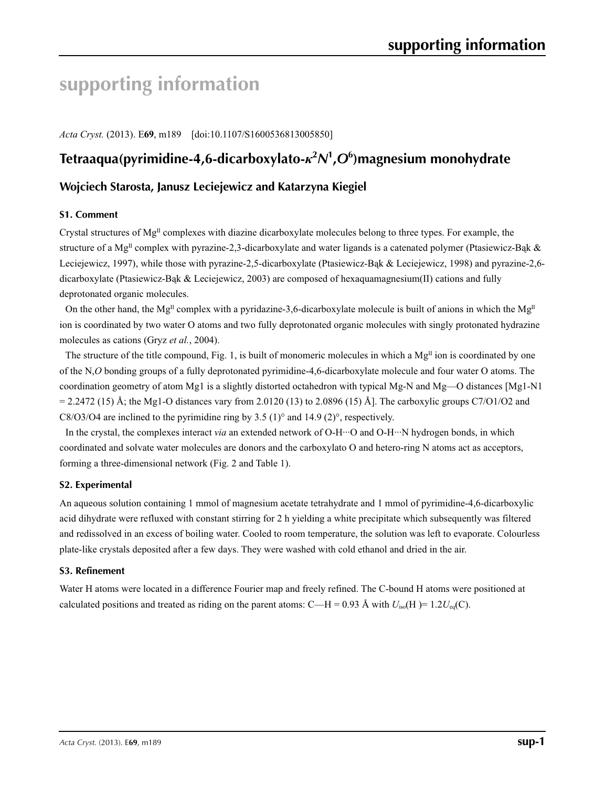# **supporting information**

*Acta Cryst.* (2013). E**69**, m189 [doi:10.1107/S1600536813005850]

## **Tetraaqua(pyrimidine-4,6-dicarboxylato-***κ***<sup>2</sup>** *N***1 ,***O***<sup>6</sup> )magnesium monohydrate**

### **Wojciech Starosta, Janusz Leciejewicz and Katarzyna Kiegiel**

#### **S1. Comment**

Crystal structures of  $Mg<sup>II</sup>$  complexes with diazine dicarboxylate molecules belong to three types. For example, the structure of a Mg<sup>II</sup> complex with pyrazine-2,3-dicarboxylate and water ligands is a catenated polymer (Ptasiewicz-Bąk & Leciejewicz, 1997), while those with pyrazine-2,5-dicarboxylate (Ptasiewicz-Bak & Leciejewicz, 1998) and pyrazine-2,6dicarboxylate (Ptasiewicz-Bąk & Leciejewicz, 2003) are composed of hexaquamagnesium(II) cations and fully deprotonated organic molecules.

On the other hand, the Mg<sup>II</sup> complex with a pyridazine-3,6-dicarboxylate molecule is built of anions in which the Mg<sup>II</sup> ion is coordinated by two water O atoms and two fully deprotonated organic molecules with singly protonated hydrazine molecules as cations (Gryz *et al.*, 2004).

The structure of the title compound, Fig. 1, is built of monomeric molecules in which a  $Mg<sup>II</sup>$  ion is coordinated by one of the N,*O* bonding groups of a fully deprotonated pyrimidine-4,6-dicarboxylate molecule and four water O atoms. The coordination geometry of atom Mg1 is a slightly distorted octahedron with typical Mg-N and Mg—O distances [Mg1-N1  $= 2.2472$  (15) Å; the Mg1-O distances vary from 2.0120 (13) to 2.0896 (15) Å]. The carboxylic groups C7/O1/O2 and C8/O3/O4 are inclined to the pyrimidine ring by  $3.5 \,(1)^\circ$  and  $14.9 \,(2)^\circ$ , respectively.

In the crystal, the complexes interact *via* an extended network of O-H···O and O-H···N hydrogen bonds, in which coordinated and solvate water molecules are donors and the carboxylato O and hetero-ring N atoms act as acceptors, forming a three-dimensional network (Fig. 2 and Table 1).

#### **S2. Experimental**

An aqueous solution containing 1 mmol of magnesium acetate tetrahydrate and 1 mmol of pyrimidine-4,6-dicarboxylic acid dihydrate were refluxed with constant stirring for 2 h yielding a white precipitate which subsequently was filtered and redissolved in an excess of boiling water. Cooled to room temperature, the solution was left to evaporate. Colourless plate-like crystals deposited after a few days. They were washed with cold ethanol and dried in the air.

#### **S3. Refinement**

Water H atoms were located in a difference Fourier map and freely refined. The C-bound H atoms were positioned at calculated positions and treated as riding on the parent atoms: C—H = 0.93 Å with  $U_{iso}(H) = 1.2U_{eq}(C)$ .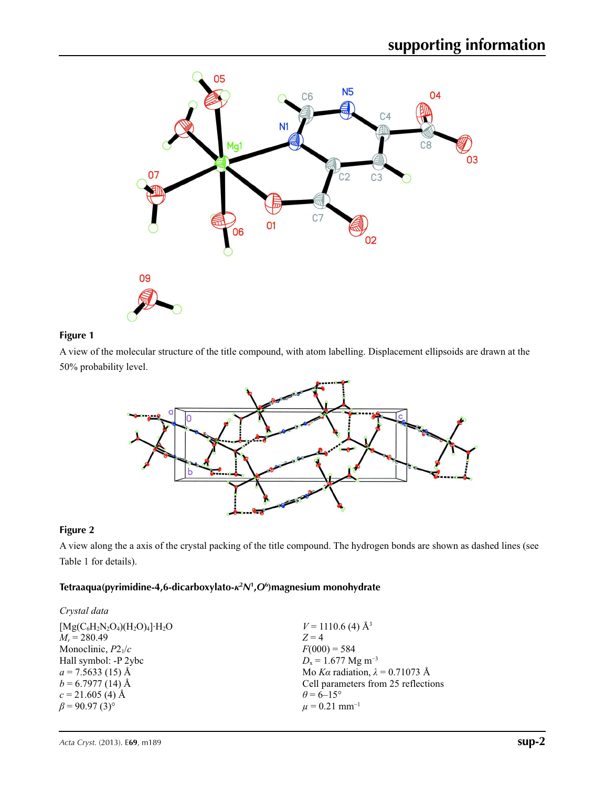

#### **Figure 1**

A view of the molecular structure of the title compound, with atom labelling. Displacement ellipsoids are drawn at the 50% probability level.



#### **Figure 2**

A view along the a axis of the crystal packing of the title compound. The hydrogen bonds are shown as dashed lines (see Table 1 for details).

#### **Tetraaqua(pyrimidine-4,6-dicarboxylato-***κ***<sup>2</sup>** *N***<sup>1</sup> ,***O***<sup>6</sup> )magnesium monohydrate**

| Crystal data                     |                                        |
|----------------------------------|----------------------------------------|
| $[Mg(C_6H_2N_2O_4)(H_2O)_4]H_2O$ | $V = 1110.6$ (4) Å <sup>3</sup>        |
| $M_r = 280.49$                   | $Z = 4$                                |
| Monoclinic, $P2_1/c$             | $F(000) = 584$                         |
| Hall symbol: -P 2ybc             | $D_x = 1.677$ Mg m <sup>-3</sup>       |
| $a = 7.5633(15)$ Å               | Mo Ka radiation, $\lambda = 0.71073$ Å |
| $b = 6.7977(14)$ Å               | Cell parameters from 25 reflections    |
| $c = 21.605$ (4) Å               | $\theta$ = 6–15°                       |
| $\beta$ = 90.97 (3) <sup>o</sup> | $\mu = 0.21$ mm <sup>-1</sup>          |
|                                  |                                        |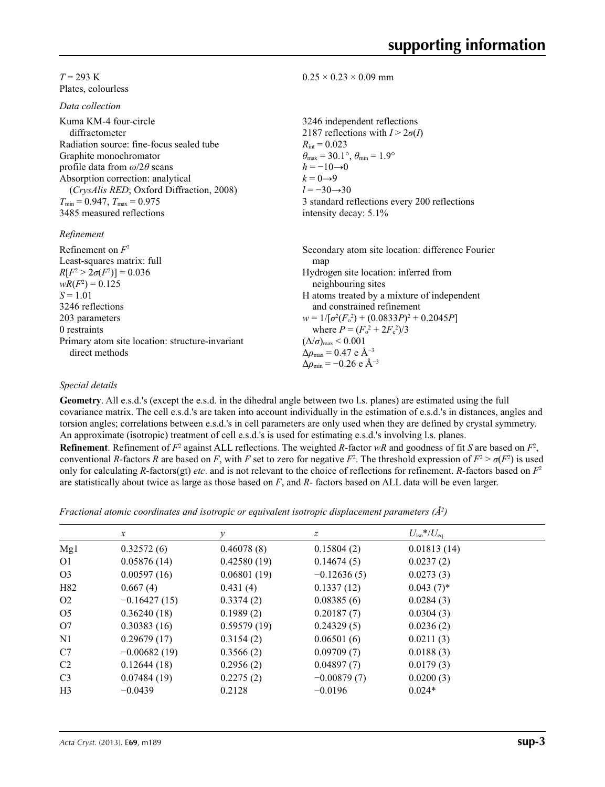#### *T* = 293 K Plates, colourless

*Data collection*

| Kuma KM-4 four-circle                    |
|------------------------------------------|
| diffractometer                           |
| Radiation source: fine-focus sealed tube |
| Graphite monochromator                   |
| profile data from $\omega/2\theta$ scans |
| Absorption correction: analytical        |
| (CrysAlis RED; Oxford Diffraction, 2008) |
| $T_{\min}$ = 0.947, $T_{\max}$ = 0.975   |
| 3485 measured reflections                |
|                                          |

#### *Refinement*

| Refinement on $F^2$                             |
|-------------------------------------------------|
| Least-squares matrix: full                      |
| $R[F^2 > 2\sigma(F^2)] = 0.036$                 |
| $wR(F^2) = 0.125$                               |
| $S = 1.01$                                      |
| 3246 reflections                                |
| 203 parameters                                  |
| 0 restraints                                    |
| Primary atom site location: structure-invariant |
| direct methods                                  |

#### $0.25 \times 0.23 \times 0.09$  mm

3246 independent reflections 2187 reflections with  $I > 2\sigma(I)$  $R_{\text{int}} = 0.023$  $\theta_{\text{max}} = 30.1^{\circ}, \theta_{\text{min}} = 1.9^{\circ}$  $h = -10 \rightarrow 0$  $k = 0 \rightarrow 9$ *l* = −30→30 3 standard reflections every 200 reflections intensity decay: 5.1%

Secondary atom site location: difference Fourier map Hydrogen site location: inferred from neighbouring sites H atoms treated by a mixture of independent and constrained refinement  $w = 1/[\sigma^2 (F_o^2) + (0.0833P)^2 + 0.2045P]$ where  $P = (F_o^2 + 2F_c^2)/3$  $(\Delta/\sigma)_{\text{max}}$  < 0.001 Δ*ρ*max = 0.47 e Å−3  $\Delta \rho_{\rm min} = -0.26$  e Å<sup>-3</sup>

#### *Special details*

**Geometry**. All e.s.d.'s (except the e.s.d. in the dihedral angle between two l.s. planes) are estimated using the full covariance matrix. The cell e.s.d.'s are taken into account individually in the estimation of e.s.d.'s in distances, angles and torsion angles; correlations between e.s.d.'s in cell parameters are only used when they are defined by crystal symmetry. An approximate (isotropic) treatment of cell e.s.d.'s is used for estimating e.s.d.'s involving l.s. planes.

**Refinement**. Refinement of  $F^2$  against ALL reflections. The weighted  $R$ -factor  $wR$  and goodness of fit  $S$  are based on  $F^2$ , conventional *R*-factors *R* are based on *F*, with *F* set to zero for negative  $F^2$ . The threshold expression of  $F^2 > \sigma(F^2)$  is used only for calculating *R*-factors(gt) *etc*. and is not relevant to the choice of reflections for refinement. *R*-factors based on *F*<sup>2</sup> are statistically about twice as large as those based on *F*, and *R*- factors based on ALL data will be even larger.

*Fractional atomic coordinates and isotropic or equivalent isotropic displacement parameters (Å<sup>2</sup>)* 

|                | $\mathcal{X}$  | v           | z             | $U_{\rm iso}$ */ $U_{\rm eq}$ |  |
|----------------|----------------|-------------|---------------|-------------------------------|--|
| Mg1            | 0.32572(6)     | 0.46078(8)  | 0.15804(2)    | 0.01813(14)                   |  |
| O <sub>1</sub> | 0.05876(14)    | 0.42580(19) | 0.14674(5)    | 0.0237(2)                     |  |
| O <sub>3</sub> | 0.00597(16)    | 0.06801(19) | $-0.12636(5)$ | 0.0273(3)                     |  |
| H82            | 0.667(4)       | 0.431(4)    | 0.1337(12)    | $0.043(7)$ *                  |  |
| O <sub>2</sub> | $-0.16427(15)$ | 0.3374(2)   | 0.08385(6)    | 0.0284(3)                     |  |
| O <sub>5</sub> | 0.36240(18)    | 0.1989(2)   | 0.20187(7)    | 0.0304(3)                     |  |
| O7             | 0.30383(16)    | 0.59579(19) | 0.24329(5)    | 0.0236(2)                     |  |
| N <sub>1</sub> | 0.29679(17)    | 0.3154(2)   | 0.06501(6)    | 0.0211(3)                     |  |
| C7             | $-0.00682(19)$ | 0.3566(2)   | 0.09709(7)    | 0.0188(3)                     |  |
| C <sub>2</sub> | 0.12644(18)    | 0.2956(2)   | 0.04897(7)    | 0.0179(3)                     |  |
| C <sub>3</sub> | 0.07484(19)    | 0.2275(2)   | $-0.00879(7)$ | 0.0200(3)                     |  |
| H <sub>3</sub> | $-0.0439$      | 0.2128      | $-0.0196$     | $0.024*$                      |  |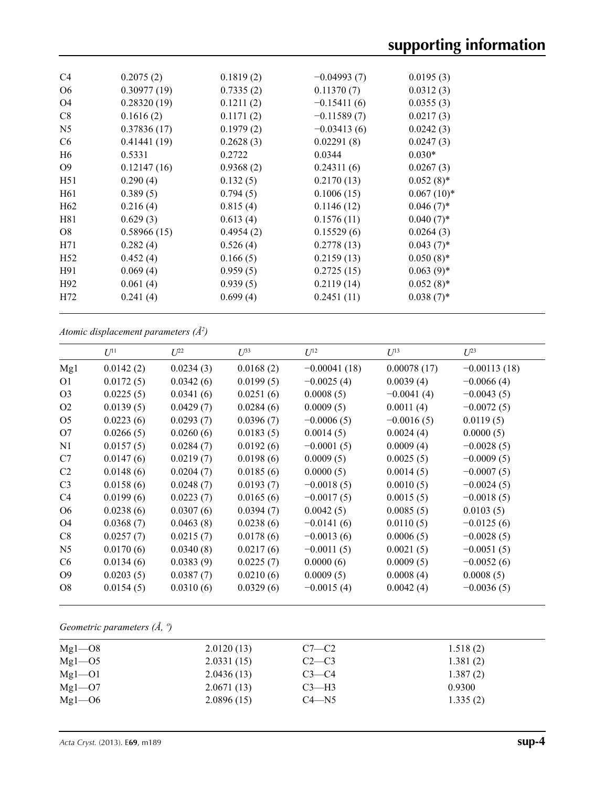| C4              | 0.2075(2)   | 0.1819(2) | $-0.04993(7)$ | 0.0195(3)    |
|-----------------|-------------|-----------|---------------|--------------|
| O <sub>6</sub>  | 0.30977(19) | 0.7335(2) | 0.11370(7)    | 0.0312(3)    |
| O <sub>4</sub>  | 0.28320(19) | 0.1211(2) | $-0.15411(6)$ | 0.0355(3)    |
| C8              | 0.1616(2)   | 0.1171(2) | $-0.11589(7)$ | 0.0217(3)    |
| N <sub>5</sub>  | 0.37836(17) | 0.1979(2) | $-0.03413(6)$ | 0.0242(3)    |
| C <sub>6</sub>  | 0.41441(19) | 0.2628(3) | 0.02291(8)    | 0.0247(3)    |
| H <sub>6</sub>  | 0.5331      | 0.2722    | 0.0344        | $0.030*$     |
| O <sub>9</sub>  | 0.12147(16) | 0.9368(2) | 0.24311(6)    | 0.0267(3)    |
| H51             | 0.290(4)    | 0.132(5)  | 0.2170(13)    | $0.052(8)$ * |
| H <sub>61</sub> | 0.389(5)    | 0.794(5)  | 0.1006(15)    | $0.067(10)*$ |
| H <sub>62</sub> | 0.216(4)    | 0.815(4)  | 0.1146(12)    | $0.046(7)^*$ |
| H81             | 0.629(3)    | 0.613(4)  | 0.1576(11)    | $0.040(7)$ * |
| O <sub>8</sub>  | 0.58966(15) | 0.4954(2) | 0.15529(6)    | 0.0264(3)    |
| H71             | 0.282(4)    | 0.526(4)  | 0.2778(13)    | $0.043(7)$ * |
| H <sub>52</sub> | 0.452(4)    | 0.166(5)  | 0.2159(13)    | $0.050(8)$ * |
| H91             | 0.069(4)    | 0.959(5)  | 0.2725(15)    | $0.063(9)*$  |
| H <sub>92</sub> | 0.061(4)    | 0.939(5)  | 0.2119(14)    | $0.052(8)$ * |
| H72             | 0.241(4)    | 0.699(4)  | 0.2451(11)    | $0.038(7)$ * |

*Atomic displacement parameters (Å2 )*

|                | $U^{11}$  | $U^{22}$  | $U^{33}$  | $U^{12}$       | $U^{13}$     | $L^{23}$       |
|----------------|-----------|-----------|-----------|----------------|--------------|----------------|
|                |           |           |           |                |              |                |
| Mg1            | 0.0142(2) | 0.0234(3) | 0.0168(2) | $-0.00041(18)$ | 0.00078(17)  | $-0.00113(18)$ |
| O <sub>1</sub> | 0.0172(5) | 0.0342(6) | 0.0199(5) | $-0.0025(4)$   | 0.0039(4)    | $-0.0066(4)$   |
| O <sub>3</sub> | 0.0225(5) | 0.0341(6) | 0.0251(6) | 0.0008(5)      | $-0.0041(4)$ | $-0.0043(5)$   |
| O <sub>2</sub> | 0.0139(5) | 0.0429(7) | 0.0284(6) | 0.0009(5)      | 0.0011(4)    | $-0.0072(5)$   |
| O <sub>5</sub> | 0.0223(6) | 0.0293(7) | 0.0396(7) | $-0.0006(5)$   | $-0.0016(5)$ | 0.0119(5)      |
| O7             | 0.0266(5) | 0.0260(6) | 0.0183(5) | 0.0014(5)      | 0.0024(4)    | 0.0000(5)      |
| N <sub>1</sub> | 0.0157(5) | 0.0284(7) | 0.0192(6) | $-0.0001(5)$   | 0.0009(4)    | $-0.0028(5)$   |
| C7             | 0.0147(6) | 0.0219(7) | 0.0198(6) | 0.0009(5)      | 0.0025(5)    | $-0.0009(5)$   |
| C <sub>2</sub> | 0.0148(6) | 0.0204(7) | 0.0185(6) | 0.0000(5)      | 0.0014(5)    | $-0.0007(5)$   |
| C <sub>3</sub> | 0.0158(6) | 0.0248(7) | 0.0193(7) | $-0.0018(5)$   | 0.0010(5)    | $-0.0024(5)$   |
| C <sub>4</sub> | 0.0199(6) | 0.0223(7) | 0.0165(6) | $-0.0017(5)$   | 0.0015(5)    | $-0.0018(5)$   |
| O <sub>6</sub> | 0.0238(6) | 0.0307(6) | 0.0394(7) | 0.0042(5)      | 0.0085(5)    | 0.0103(5)      |
| O4             | 0.0368(7) | 0.0463(8) | 0.0238(6) | $-0.0141(6)$   | 0.0110(5)    | $-0.0125(6)$   |
| C8             | 0.0257(7) | 0.0215(7) | 0.0178(6) | $-0.0013(6)$   | 0.0006(5)    | $-0.0028(5)$   |
| N <sub>5</sub> | 0.0170(6) | 0.0340(8) | 0.0217(6) | $-0.0011(5)$   | 0.0021(5)    | $-0.0051(5)$   |
| C <sub>6</sub> | 0.0134(6) | 0.0383(9) | 0.0225(7) | 0.0000(6)      | 0.0009(5)    | $-0.0052(6)$   |
| O <sub>9</sub> | 0.0203(5) | 0.0387(7) | 0.0210(6) | 0.0009(5)      | 0.0008(4)    | 0.0008(5)      |
| O <sub>8</sub> | 0.0154(5) | 0.0310(6) | 0.0329(6) | $-0.0015(4)$   | 0.0042(4)    | $-0.0036(5)$   |

*Geometric parameters (Å, º)*

| $Mgl$ <sup>-08</sup> | 2.0120(13) | $C7-C2$   | 1.518(2) |  |
|----------------------|------------|-----------|----------|--|
| $Mgl$ –05            | 2.0331(15) | $C2-C3$   | 1.381(2) |  |
| $Mgl$ – $O1$         | 2.0436(13) | $C3-C4$   | 1.387(2) |  |
| $Mgl$ – $O7$         | 2.0671(13) | $C3-H3$   | 0.9300   |  |
| $Mgl$ - $O6$         | 2.0896(15) | $C4 - N5$ | 1.335(2) |  |
|                      |            |           |          |  |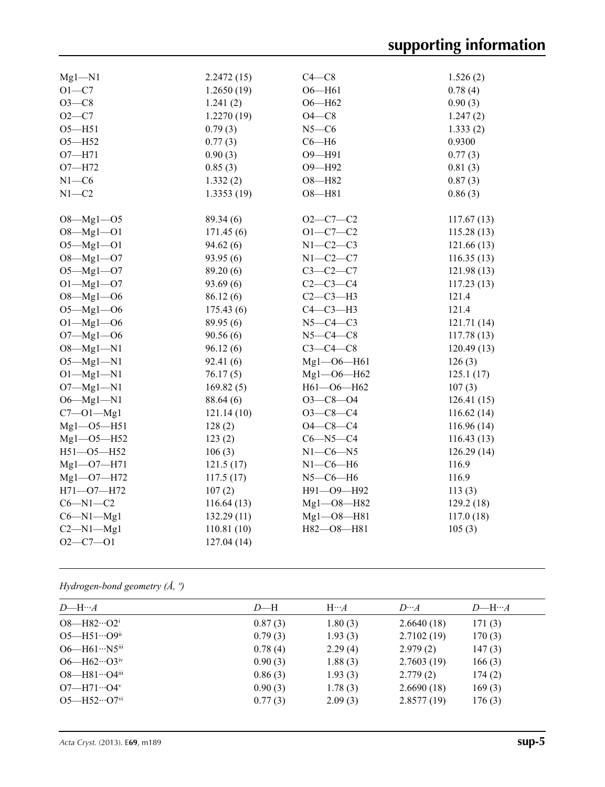| $Mg1 - N1$       | 2.2472(15)  | $C4-C8$          | 1.526(2)    |
|------------------|-------------|------------------|-------------|
| $O1 - C7$        | 1.2650(19)  | $O6 - H61$       | 0.78(4)     |
| $O3-C8$          | 1.241(2)    | $O6 - H62$       | 0.90(3)     |
| $O2-C7$          | 1.2270(19)  | $O4-C8$          | 1.247(2)    |
| $O5 - H51$       | 0.79(3)     | $N5-C6$          | 1.333(2)    |
| $O5 - H52$       | 0.77(3)     | $C6 - H6$        | 0.9300      |
| $O7 - H71$       | 0.90(3)     | O9-H91           | 0.77(3)     |
| $O7 - H72$       | 0.85(3)     | O9-H92           | 0.81(3)     |
| $N1 - C6$        | 1.332(2)    | O8-H82           | 0.87(3)     |
| $N1 - C2$        | 1.3353(19)  | $O8 - H81$       | 0.86(3)     |
|                  |             |                  |             |
| $O8 - Mg1 - O5$  | 89.34 (6)   | $O2 - C7 - C2$   | 117.67(13)  |
| $O8 - Mg1 - O1$  | 171.45(6)   | $O1 - C7 - C2$   | 115.28(13)  |
| $O5 - Mg1 - O1$  | 94.62(6)    | $N1-C2-C3$       | 121.66(13)  |
| $O8 - Mg1 - O7$  | 93.95(6)    | $N1-C2-C7$       | 116.35(13)  |
| $O5 - Mg1 - O7$  | 89.20 (6)   | $C3-C2-C7$       | 121.98(13)  |
| $O1 - Mg1 - O7$  | 93.69 (6)   | $C2-C3-C4$       | 117.23(13)  |
| $O8 - Mg1 - O6$  | 86.12(6)    | $C2-C3-H3$       | 121.4       |
| $O5 - Mg1 - O6$  | 175.43(6)   | $C4-C3-H3$       | 121.4       |
| $O1 - Mg1 - O6$  | 89.95 (6)   | $N5-C4-C3$       | 121.71 (14) |
| $O7 - Mg1 - O6$  | 90.56(6)    | $N5-C4-C8$       | 117.78(13)  |
| $O8 - Mg1 - N1$  | 96.12(6)    | $C3-C4-C8$       | 120.49(13)  |
| $O5 - Mg1 - N1$  | 92.41(6)    | $Mgl - 06 - H61$ | 126(3)      |
| $O1 - Mg1 - N1$  | 76.17(5)    | $Mg1 - 06 - H62$ | 125.1(17)   |
| $O7 - Mg1 - N1$  | 169.82(5)   | H61-O6-H62       | 107(3)      |
| $O6 - Mg1 - N1$  | 88.64 (6)   | $O3 - C8 - O4$   | 126.41(15)  |
| $C7 - 01 - Mg1$  | 121.14(10)  | $O3-C8-C4$       | 116.62(14)  |
| $Mg1 - 05 - H51$ | 128(2)      | $O4 - C8 - C4$   | 116.96(14)  |
| $Mg1 - 05 - H52$ | 123(2)      | $C6 - N5 - C4$   | 116.43(13)  |
| $H51 - O5 - H52$ | 106(3)      | $N1 - C6 - N5$   | 126.29(14)  |
| $Mg1 - O7 - H71$ | 121.5(17)   | $N1-C6-H6$       | 116.9       |
| $Mg1 - O7 - H72$ | 117.5(17)   | $N5-C6-H6$       | 116.9       |
| $H71 - O7 - H72$ | 107(2)      | H91-O9-H92       | 113(3)      |
| $C6 - N1 - C2$   | 116.64(13)  | Mg1-08-H82       | 129.2(18)   |
| $C6 - N1 - Mg1$  | 132.29 (11) | $Mg1 - O8 - H81$ | 117.0(18)   |
| $C2-M1-Mg1$      | 110.81(10)  | H82-08-H81       | 105(3)      |
| $O2 - C7 - O1$   | 127.04(14)  |                  |             |
|                  |             |                  |             |

*Hydrogen-bond geometry (Å, º)*

| $D$ —H… $A$                                   | $D$ —H  | $H \cdots A$ | $D^{}A$    | $D$ —H… $A$ |
|-----------------------------------------------|---------|--------------|------------|-------------|
| $O8 - H82 \cdot O2^i$                         | 0.87(3) | 1.80(3)      | 2.6640(18) | 171(3)      |
| $O5 - H51 \cdots O9$ <sup>ii</sup>            | 0.79(3) | 1.93(3)      | 2.7102(19) | 170(3)      |
| O6-H61…N5iii                                  | 0.78(4) | 2.29(4)      | 2.979(2)   | 147(3)      |
| $O6 - H62 \cdot O3$ iv                        | 0.90(3) | 1.88(3)      | 2.7603(19) | 166(3)      |
| $O8 - H81 \cdots O4$ iii                      | 0.86(3) | 1.93(3)      | 2.779(2)   | 174(2)      |
| $O7 - H71 \cdot O4$ <sup>v</sup>              | 0.90(3) | 1.78(3)      | 2.6690(18) | 169(3)      |
| $O5 - H52 \cdot \cdot \cdot O7$ <sup>vi</sup> | 0.77(3) | 2.09(3)      | 2.8577(19) | 176(3)      |
|                                               |         |              |            |             |